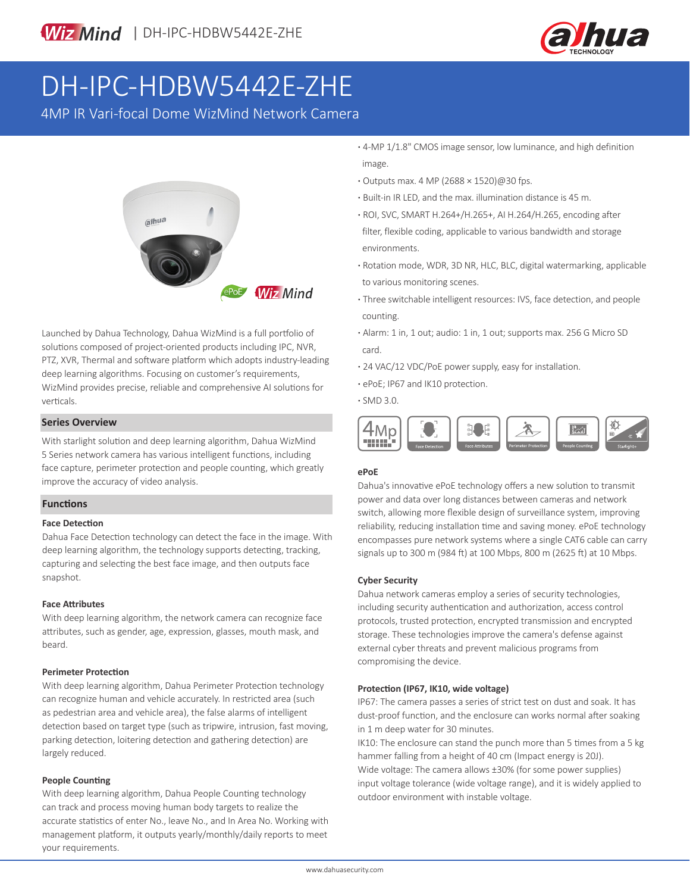

# DH-IPC-HDBW5442E-ZHE

4MP IR Vari-focal Dome WizMind Network Camera



Launched by Dahua Technology, Dahua WizMind is a full portfolio of solutions composed of project-oriented products including IPC, NVR, PTZ, XVR, Thermal and software platform which adopts industry-leading deep learning algorithms. Focusing on customer's requirements, WizMind provides precise, reliable and comprehensive AI solutions for verticals.

#### **Series Overview**

With starlight solution and deep learning algorithm, Dahua WizMind 5 Series network camera has various intelligent functions, including face capture, perimeter protection and people counting, which greatly improve the accuracy of video analysis.

#### **Functions**

#### **Face Detection**

Dahua Face Detection technology can detect the face in the image. With deep learning algorithm, the technology supports detecting, tracking, capturing and selecting the best face image, and then outputs face snapshot.

#### **Face Attributes**

With deep learning algorithm, the network camera can recognize face attributes, such as gender, age, expression, glasses, mouth mask, and beard.

#### **Perimeter Protection**

With deep learning algorithm, Dahua Perimeter Protection technology can recognize human and vehicle accurately. In restricted area (such as pedestrian area and vehicle area), the false alarms of intelligent detection based on target type (such as tripwire, intrusion, fast moving, parking detection, loitering detection and gathering detection) are largely reduced.

#### **People Counting**

With deep learning algorithm, Dahua People Counting technology can track and process moving human body targets to realize the accurate statistics of enter No., leave No., and In Area No. Working with management platform, it outputs yearly/monthly/daily reports to meet your requirements.

**·** 4-MP 1/1.8" CMOS image sensor, low luminance, and high definition image.

- **·** Outputs max. 4 MP (2688 × 1520)@30 fps.
- **·** Built-in IR LED, and the max. illumination distance is 45 m.
- **·** ROI, SVC, SMART H.264+/H.265+, AI H.264/H.265, encoding after filter, flexible coding, applicable to various bandwidth and storage environments.
- **·** Rotation mode, WDR, 3D NR, HLC, BLC, digital watermarking, applicable to various monitoring scenes.
- **·** Three switchable intelligent resources: IVS, face detection, and people counting.
- **·** Alarm: 1 in, 1 out; audio: 1 in, 1 out; supports max. 256 G Micro SD card.
- **·** 24 VAC/12 VDC/PoE power supply, easy for installation.
- **·** ePoE; IP67 and IK10 protection.
- **·** SMD 3.0.



### **ePoE**

Dahua's innovative ePoE technology offers a new solution to transmit power and data over long distances between cameras and network switch, allowing more flexible design of surveillance system, improving reliability, reducing installation time and saving money. ePoE technology encompasses pure network systems where a single CAT6 cable can carry signals up to 300 m (984 ft) at 100 Mbps, 800 m (2625 ft) at 10 Mbps.

#### **Cyber Security**

Dahua network cameras employ a series of security technologies, including security authentication and authorization, access control protocols, trusted protection, encrypted transmission and encrypted storage. These technologies improve the camera's defense against external cyber threats and prevent malicious programs from compromising the device.

#### **Protection (IP67, IK10, wide voltage)**

IP67: The camera passes a series of strict test on dust and soak. It has dust-proof function, and the enclosure can works normal after soaking in 1 m deep water for 30 minutes.

IK10: The enclosure can stand the punch more than 5 times from a 5 kg hammer falling from a height of 40 cm (Impact energy is 20J). Wide voltage: The camera allows ±30% (for some power supplies) input voltage tolerance (wide voltage range), and it is widely applied to outdoor environment with instable voltage.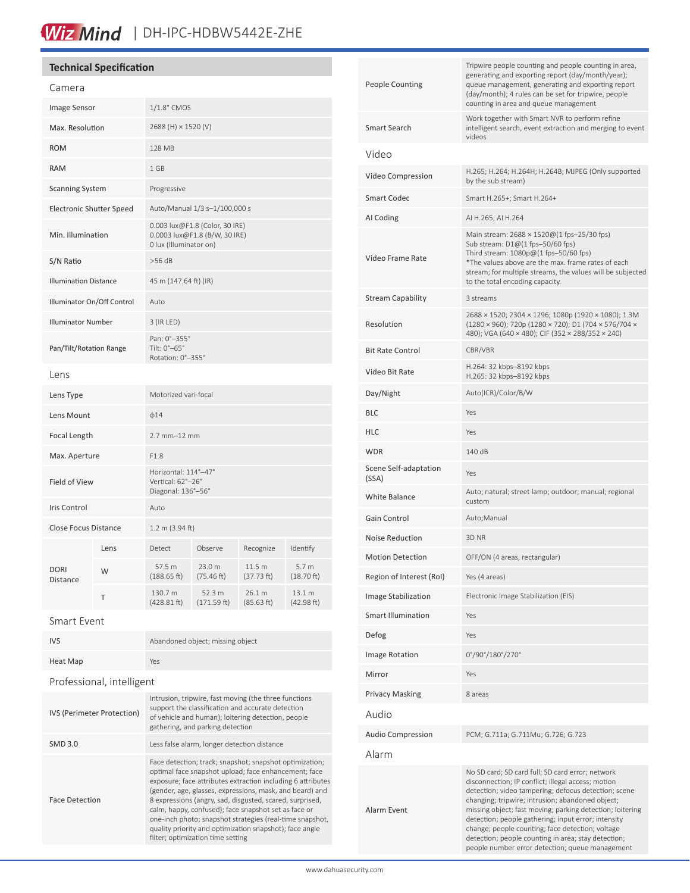# Wiz Mind | DH-IPC-HDBW5442E-ZHE

#### **Technical Specification**

| Camera                          |      |                                                                                           |                       |                      |                        |
|---------------------------------|------|-------------------------------------------------------------------------------------------|-----------------------|----------------------|------------------------|
| <b>Image Sensor</b>             |      | 1/1.8" CMOS                                                                               |                       |                      |                        |
| Max. Resolution                 |      | 2688 (H) × 1520 (V)                                                                       |                       |                      |                        |
| <b>ROM</b>                      |      | <b>128 MB</b>                                                                             |                       |                      |                        |
| <b>RAM</b>                      |      | 1 GB                                                                                      |                       |                      |                        |
| <b>Scanning System</b>          |      | Progressive                                                                               |                       |                      |                        |
| <b>Electronic Shutter Speed</b> |      | Auto/Manual 1/3 s-1/100,000 s                                                             |                       |                      |                        |
| Min. Illumination               |      | 0.003 lux@F1.8 (Color, 30 IRE)<br>0.0003 lux@F1.8 (B/W, 30 IRE)<br>0 lux (Illuminator on) |                       |                      |                        |
| S/N Ratio                       |      | $>56$ dB                                                                                  |                       |                      |                        |
| <b>Illumination Distance</b>    |      | 45 m (147.64 ft) (IR)                                                                     |                       |                      |                        |
| Illuminator On/Off Control      |      | Auto                                                                                      |                       |                      |                        |
| <b>Illuminator Number</b>       |      | 3 (IR LED)                                                                                |                       |                      |                        |
| Pan/Tilt/Rotation Range         |      | Pan: 0°-355°<br>Tilt: 0°-65°<br>Rotation: 0°-355°                                         |                       |                      |                        |
| Lens                            |      |                                                                                           |                       |                      |                        |
| Lens Type                       |      | Motorized vari-focal                                                                      |                       |                      |                        |
| Lens Mount                      |      | $\phi$ 14                                                                                 |                       |                      |                        |
| Focal Length                    |      | $2.7$ mm $-12$ mm                                                                         |                       |                      |                        |
| Max. Aperture                   |      | F1.8                                                                                      |                       |                      |                        |
| Field of View                   |      | Horizontal: 114°-47°<br>Vertical: 62°-26°<br>Diagonal: 136°-56°                           |                       |                      |                        |
| Iris Control                    |      | Auto                                                                                      |                       |                      |                        |
| Close Focus Distance            |      | 1.2 m (3.94 ft)                                                                           |                       |                      |                        |
| <b>DORI</b><br><b>Distance</b>  | Lens | Detect                                                                                    | Observe               | Recognize            | Identify               |
|                                 | W    | 57.5 m<br>(188.65 ft)                                                                     | 23.0 m<br>(75.46 ft)  | 11.5 m<br>(37.73 ft) | 5.7 m<br>$(18.70)$ ft) |
|                                 | Τ    | 130.7 m<br>(428.81 ft)                                                                    | 52.3 m<br>(171.59 ft) | 26.1 m<br>(85.63 ft) | 13.1 m<br>(42.98 ft)   |
|                                 |      |                                                                                           |                       |                      |                        |

Smart Event

| <b>IVS</b>                 | Abandoned object; missing object                                                                                                                                                                                                                                                                                                                                                                                                                                                                                           |  |  |  |
|----------------------------|----------------------------------------------------------------------------------------------------------------------------------------------------------------------------------------------------------------------------------------------------------------------------------------------------------------------------------------------------------------------------------------------------------------------------------------------------------------------------------------------------------------------------|--|--|--|
| <b>Heat Map</b>            | Yes                                                                                                                                                                                                                                                                                                                                                                                                                                                                                                                        |  |  |  |
| Professional, intelligent  |                                                                                                                                                                                                                                                                                                                                                                                                                                                                                                                            |  |  |  |
| IVS (Perimeter Protection) | Intrusion, tripwire, fast moving (the three functions<br>support the classification and accurate detection<br>of vehicle and human); loitering detection, people<br>gathering, and parking detection                                                                                                                                                                                                                                                                                                                       |  |  |  |
| <b>SMD 3.0</b>             | Less false alarm, longer detection distance                                                                                                                                                                                                                                                                                                                                                                                                                                                                                |  |  |  |
| <b>Face Detection</b>      | Face detection; track; snapshot; snapshot optimization;<br>optimal face snapshot upload; face enhancement; face<br>exposure; face attributes extraction including 6 attributes<br>(gender, age, glasses, expressions, mask, and beard) and<br>8 expressions (angry, sad, disgusted, scared, surprised,<br>calm, happy, confused); face snapshot set as face or<br>one-inch photo; snapshot strategies (real-time snapshot,<br>quality priority and optimization snapshot); face angle<br>filter; optimization time setting |  |  |  |

| People Counting                | Tripwire people counting and people counting in area,<br>generating and exporting report (day/month/year);<br>queue management, generating and exporting report<br>(day/month); 4 rules can be set for tripwire, people<br>counting in area and queue management                                                                                                                                                                                                                                     |  |  |
|--------------------------------|------------------------------------------------------------------------------------------------------------------------------------------------------------------------------------------------------------------------------------------------------------------------------------------------------------------------------------------------------------------------------------------------------------------------------------------------------------------------------------------------------|--|--|
| Smart Search                   | Work together with Smart NVR to perform refine<br>intelligent search, event extraction and merging to event<br>videos                                                                                                                                                                                                                                                                                                                                                                                |  |  |
| Video                          |                                                                                                                                                                                                                                                                                                                                                                                                                                                                                                      |  |  |
| Video Compression              | H.265; H.264; H.264H; H.264B; MJPEG (Only supported<br>by the sub stream)                                                                                                                                                                                                                                                                                                                                                                                                                            |  |  |
| Smart Codec                    | Smart H.265+; Smart H.264+                                                                                                                                                                                                                                                                                                                                                                                                                                                                           |  |  |
| AI Coding                      | AI H.265; AI H.264                                                                                                                                                                                                                                                                                                                                                                                                                                                                                   |  |  |
| Video Frame Rate               | Main stream: 2688 × 1520@(1 fps-25/30 fps)<br>Sub stream: D1@(1 fps-50/60 fps)<br>Third stream: $1080p@(1$ fps-50/60 fps)<br>*The values above are the max. frame rates of each<br>stream; for multiple streams, the values will be subjected<br>to the total encoding capacity.                                                                                                                                                                                                                     |  |  |
| <b>Stream Capability</b>       | 3 streams                                                                                                                                                                                                                                                                                                                                                                                                                                                                                            |  |  |
| Resolution                     | 2688 × 1520; 2304 × 1296; 1080p (1920 × 1080); 1.3M<br>(1280 × 960); 720p (1280 × 720); D1 (704 × 576/704 ×<br>480); VGA (640 × 480); CIF (352 × 288/352 × 240)                                                                                                                                                                                                                                                                                                                                      |  |  |
| <b>Bit Rate Control</b>        | CBR/VBR                                                                                                                                                                                                                                                                                                                                                                                                                                                                                              |  |  |
| Video Bit Rate                 | H.264: 32 kbps-8192 kbps<br>H.265: 32 kbps-8192 kbps                                                                                                                                                                                                                                                                                                                                                                                                                                                 |  |  |
| Day/Night                      | Auto(ICR)/Color/B/W                                                                                                                                                                                                                                                                                                                                                                                                                                                                                  |  |  |
| BLC                            | Yes                                                                                                                                                                                                                                                                                                                                                                                                                                                                                                  |  |  |
| HLC                            | Yes                                                                                                                                                                                                                                                                                                                                                                                                                                                                                                  |  |  |
| WDR                            | 140 dB                                                                                                                                                                                                                                                                                                                                                                                                                                                                                               |  |  |
| Scene Self-adaptation<br>(SSA) | Yes                                                                                                                                                                                                                                                                                                                                                                                                                                                                                                  |  |  |
| <b>White Balance</b>           | Auto; natural; street lamp; outdoor; manual; regional<br>custom                                                                                                                                                                                                                                                                                                                                                                                                                                      |  |  |
| Gain Control                   | Auto; Manual                                                                                                                                                                                                                                                                                                                                                                                                                                                                                         |  |  |
| <b>Noise Reduction</b>         | 3D NR                                                                                                                                                                                                                                                                                                                                                                                                                                                                                                |  |  |
| <b>Motion Detection</b>        | OFF/ON (4 areas, rectangular)                                                                                                                                                                                                                                                                                                                                                                                                                                                                        |  |  |
| Region of Interest (RoI)       | Yes (4 areas)                                                                                                                                                                                                                                                                                                                                                                                                                                                                                        |  |  |
| <b>Image Stabilization</b>     | Electronic Image Stabilization (EIS)                                                                                                                                                                                                                                                                                                                                                                                                                                                                 |  |  |
| Smart Illumination             | Yes                                                                                                                                                                                                                                                                                                                                                                                                                                                                                                  |  |  |
| Defog                          | Yes                                                                                                                                                                                                                                                                                                                                                                                                                                                                                                  |  |  |
| Image Rotation                 | 0°/90°/180°/270°                                                                                                                                                                                                                                                                                                                                                                                                                                                                                     |  |  |
| Mirror                         | Yes                                                                                                                                                                                                                                                                                                                                                                                                                                                                                                  |  |  |
| <b>Privacy Masking</b>         | 8 areas                                                                                                                                                                                                                                                                                                                                                                                                                                                                                              |  |  |
| Audio                          |                                                                                                                                                                                                                                                                                                                                                                                                                                                                                                      |  |  |
| <b>Audio Compression</b>       | PCM; G.711a; G.711Mu; G.726; G.723                                                                                                                                                                                                                                                                                                                                                                                                                                                                   |  |  |
| Alarm                          |                                                                                                                                                                                                                                                                                                                                                                                                                                                                                                      |  |  |
| Alarm Event                    | No SD card; SD card full; SD card error; network<br>disconnection; IP conflict; illegal access; motion<br>detection; video tampering; defocus detection; scene<br>changing; tripwire; intrusion; abandoned object;<br>missing object; fast moving; parking detection; loitering<br>detection; people gathering; input error; intensity<br>change; people counting; face detection; voltage<br>detection; people counting in area; stay detection;<br>people number error detection; queue management |  |  |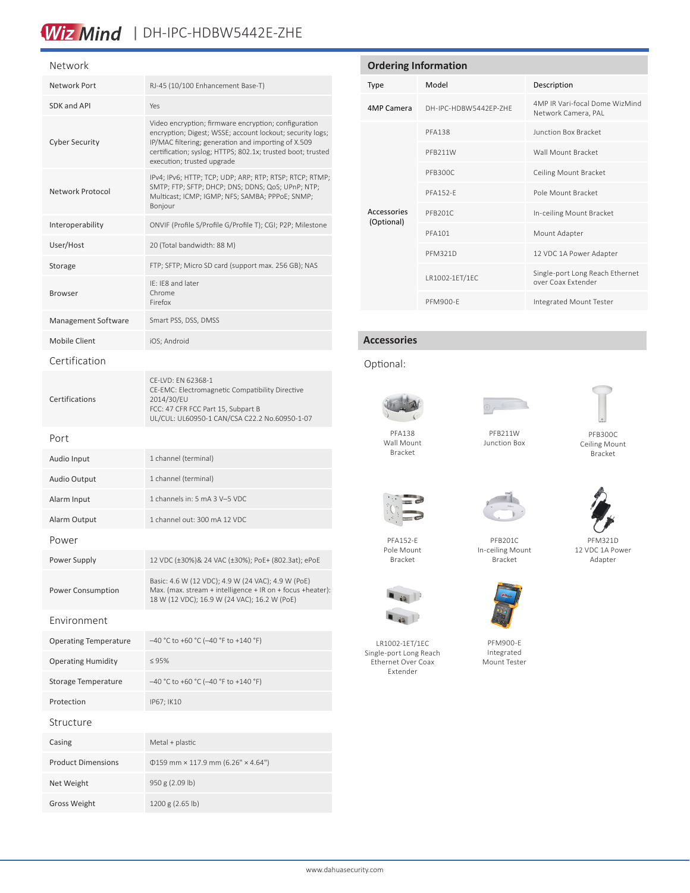### Wiz Mind | DH-IPC-HDBW5442E-ZHE

### Network

| <b>IVELWUIN</b>              |                                                                                                                                                                                                                                                                       |  |  |
|------------------------------|-----------------------------------------------------------------------------------------------------------------------------------------------------------------------------------------------------------------------------------------------------------------------|--|--|
| Network Port                 | RJ-45 (10/100 Enhancement Base-T)                                                                                                                                                                                                                                     |  |  |
| SDK and API                  | Yes                                                                                                                                                                                                                                                                   |  |  |
| <b>Cyber Security</b>        | Video encryption; firmware encryption; configuration<br>encryption; Digest; WSSE; account lockout; security logs;<br>IP/MAC filtering; generation and importing of X.509<br>certification; syslog; HTTPS; 802.1x; trusted boot; trusted<br>execution; trusted upgrade |  |  |
| Network Protocol             | IPv4; IPv6; HTTP; TCP; UDP; ARP; RTP; RTSP; RTCP; RTMP;<br>SMTP; FTP; SFTP; DHCP; DNS; DDNS; QoS; UPnP; NTP;<br>Multicast; ICMP; IGMP; NFS; SAMBA; PPPoE; SNMP;<br>Bonjour                                                                                            |  |  |
| Interoperability             | ONVIF (Profile S/Profile G/Profile T); CGI; P2P; Milestone                                                                                                                                                                                                            |  |  |
| User/Host                    | 20 (Total bandwidth: 88 M)                                                                                                                                                                                                                                            |  |  |
| Storage                      | FTP; SFTP; Micro SD card (support max. 256 GB); NAS                                                                                                                                                                                                                   |  |  |
| <b>Browser</b>               | IE: IE8 and later<br>Chrome<br>Firefox                                                                                                                                                                                                                                |  |  |
| Management Software          | Smart PSS, DSS, DMSS                                                                                                                                                                                                                                                  |  |  |
| <b>Mobile Client</b>         | iOS; Android                                                                                                                                                                                                                                                          |  |  |
| Certification                |                                                                                                                                                                                                                                                                       |  |  |
| Certifications               | CE-LVD: EN 62368-1<br>CE-EMC: Electromagnetic Compatibility Directive<br>2014/30/EU<br>FCC: 47 CFR FCC Part 15, Subpart B<br>UL/CUL: UL60950-1 CAN/CSA C22.2 No.60950-1-07                                                                                            |  |  |
| Port                         |                                                                                                                                                                                                                                                                       |  |  |
| Audio Input                  | 1 channel (terminal)                                                                                                                                                                                                                                                  |  |  |
| <b>Audio Output</b>          | 1 channel (terminal)                                                                                                                                                                                                                                                  |  |  |
| Alarm Input                  | 1 channels in: 5 mA 3 V-5 VDC                                                                                                                                                                                                                                         |  |  |
| Alarm Output                 | 1 channel out: 300 mA 12 VDC                                                                                                                                                                                                                                          |  |  |
| Power                        |                                                                                                                                                                                                                                                                       |  |  |
| Power Supply                 | 12 VDC (±30%)& 24 VAC (±30%); PoE+ (802.3at); ePoE                                                                                                                                                                                                                    |  |  |
| Power Consumption            | Basic: 4.6 W (12 VDC); 4.9 W (24 VAC); 4.9 W (PoE)<br>Max. (max. stream + intelligence + IR on + focus + heater):<br>18 W (12 VDC); 16.9 W (24 VAC); 16.2 W (PoE)                                                                                                     |  |  |
| Environment                  |                                                                                                                                                                                                                                                                       |  |  |
| <b>Operating Temperature</b> | $-40$ °C to +60 °C (-40 °F to +140 °F)                                                                                                                                                                                                                                |  |  |
| <b>Operating Humidity</b>    | $\leq 95\%$                                                                                                                                                                                                                                                           |  |  |
| Storage Temperature          | -40 °C to +60 °C (-40 °F to +140 °F)                                                                                                                                                                                                                                  |  |  |
| Protection                   | IP67; IK10                                                                                                                                                                                                                                                            |  |  |
| Structure                    |                                                                                                                                                                                                                                                                       |  |  |
| Casing                       | Metal + plastic                                                                                                                                                                                                                                                       |  |  |
| <b>Product Dimensions</b>    | $0159$ mm × 117.9 mm (6.26" × 4.64")                                                                                                                                                                                                                                  |  |  |
| Net Weight                   | 950 g (2.09 lb)                                                                                                                                                                                                                                                       |  |  |
| Gross Weight                 | 1200 g (2.65 lb)                                                                                                                                                                                                                                                      |  |  |

| <b>Ordering Information</b> |                       |                                                       |  |  |
|-----------------------------|-----------------------|-------------------------------------------------------|--|--|
| Type                        | Model                 | Description                                           |  |  |
| 4MP Camera                  | DH-IPC-HDBW5442FP-7HF | 4MP IR Vari-focal Dome WizMind<br>Network Camera, PAL |  |  |
| Accessories<br>(Optional)   | <b>PFA138</b>         | <b>Junction Box Bracket</b>                           |  |  |
|                             | PFB211W               | Wall Mount Bracket                                    |  |  |
|                             | PFB300C               | Ceiling Mount Bracket                                 |  |  |
|                             | <b>PFA152-F</b>       | Pole Mount Bracket                                    |  |  |
|                             | PFB201C               | In-ceiling Mount Bracket                              |  |  |
|                             | <b>PFA101</b>         | Mount Adapter                                         |  |  |
|                             | <b>PFM321D</b>        | 12 VDC 1A Power Adapter                               |  |  |
|                             | LR1002-1ET/1EC        | Single-port Long Reach Ethernet<br>over Coax Extender |  |  |
|                             | PFM900-F              | Integrated Mount Tester                               |  |  |

#### **Accessories**

#### Optional:



Wall Mount Bracket



PFB211W



PFB300C Ceiling Mount Bracket



PFA152-E



Junction Box





12 VDC 1A Power Adapter





LR1002-1ET/1EC Single-port Long Reach Ethernet Over Coax Extender



PFM900-E Integrated Mount Tester